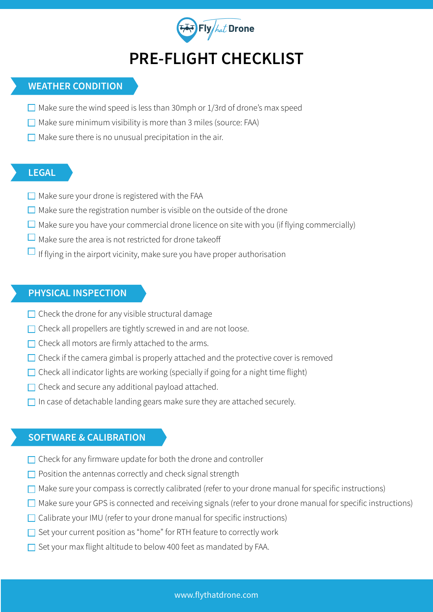

## **PRE-FLIGHT CHECKLIST**

## **WEATHER CONDITION**

- $\Box$  Make sure the wind speed is less than 30mph or 1/3rd of drone's max speed
- $\Box$  Make sure minimum visibility is more than 3 miles (source: FAA)
- $\Box$  Make sure there is no unusual precipitation in the air.

### **LEGAL**

- $\Box$  Make sure your drone is registered with the FAA
- $\Box$  Make sure the registration number is visible on the outside of the drone
- $\Box$  Make sure you have your commercial drone licence on site with you (if flying commercially)
- $\Box$  Make sure the area is not restricted for drone takeoff
- $\Box$  If flying in the airport vicinity, make sure you have proper authorisation

## **PHYSICAL INSPECTION**

- $\Box$  Check the drone for any visible structural damage
- $\Box$  Check all propellers are tightly screwed in and are not loose.
- $\Box$  Check all motors are firmly attached to the arms.
- $\Box$  Check if the camera gimbal is properly attached and the protective cover is removed
- $\Box$  Check all indicator lights are working (specially if going for a night time flight)
- $\Box$  Check and secure any additional payload attached.
- $\Box$  In case of detachable landing gears make sure they are attached securely.

#### **SOFTWARE & CALIBRATION**

- $\Box$  Check for any firmware update for both the drone and controller
- $\Box$  Position the antennas correctly and check signal strength
- $\Box$  Make sure your compass is correctly calibrated (refer to your drone manual for specific instructions)
- $\Box$  Make sure your GPS is connected and receiving signals (refer to your drone manual for specific instructions)
- $\Box$  Calibrate your IMU (refer to your drone manual for specific instructions)
- $\Box$  Set your current position as "home" for RTH feature to correctly work
- $\Box$  Set your max flight altitude to below 400 feet as mandated by FAA.